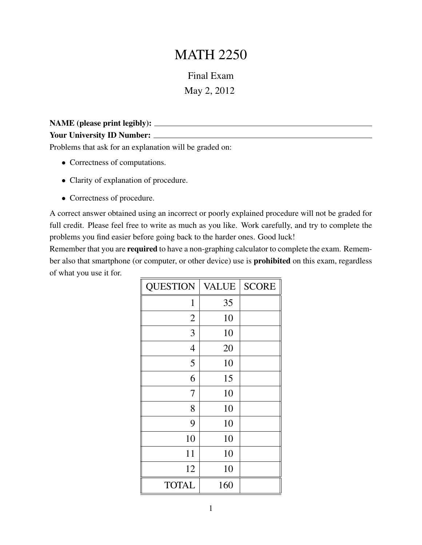## MATH 2250

Final Exam May 2, 2012

| NAME (please print legibly): $\overline{\phantom{a}}$ |  |
|-------------------------------------------------------|--|
| <b>Your University ID Number:</b>                     |  |
|                                                       |  |

Problems that ask for an explanation will be graded on:

- Correctness of computations.
- Clarity of explanation of procedure.
- Correctness of procedure.

A correct answer obtained using an incorrect or poorly explained procedure will not be graded for full credit. Please feel free to write as much as you like. Work carefully, and try to complete the problems you find easier before going back to the harder ones. Good luck!

Remember that you are **required** to have a non-graphing calculator to complete the exam. Remember also that smartphone (or computer, or other device) use is prohibited on this exam, regardless of what you use it for.

| <b>QUESTION</b> | <b>VALUE</b> | <b>SCORE</b> |
|-----------------|--------------|--------------|
| 1               | 35           |              |
| $\overline{2}$  | 10           |              |
| 3               | 10           |              |
| $\overline{4}$  | 20           |              |
| 5               | 10           |              |
| 6               | 15           |              |
| 7               | 10           |              |
| 8               | 10           |              |
| 9               | 10           |              |
| 10              | 10           |              |
| 11              | 10           |              |
| 12              | 10           |              |
| <b>TOTAL</b>    | 160          |              |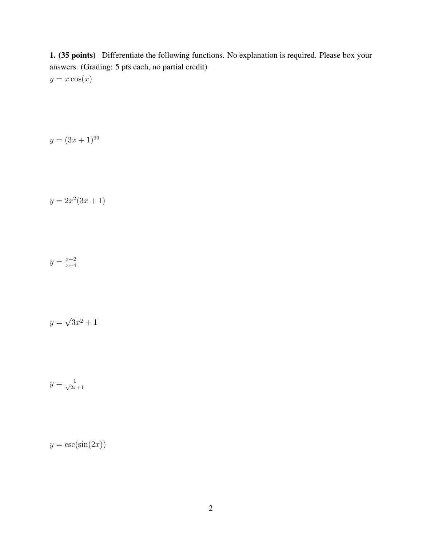1. (35 points) Differentiate the following functions. No explanation is required. Please box your answers. (Grading: 5 pts each, no partial credit)  $y = x \cos(x)$ 

$$
y = (3x + 1)^{99}
$$

$$
y = 2x^2(3x+1)
$$

$$
y = \frac{x+2}{x+4}
$$

$$
y = \sqrt{3x^2 + 1}
$$

$$
y = \frac{1}{\sqrt{2x+1}}
$$

 $y = \csc(\sin(2x))$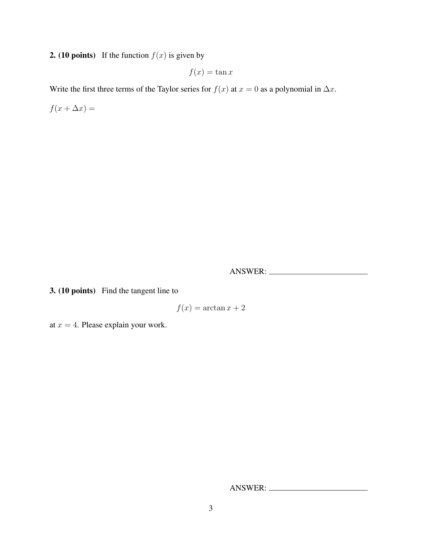## **2.** (10 points) If the function  $f(x)$  is given by

 $f(x) = \tan x$ 

Write the first three terms of the Taylor series for  $f(x)$  at  $x = 0$  as a polynomial in  $\Delta x$ .

 $f(x + \Delta x) =$ 

ANSWER:

3. (10 points) Find the tangent line to

$$
f(x) = \arctan x + 2
$$

at  $x = 4$ . Please explain your work.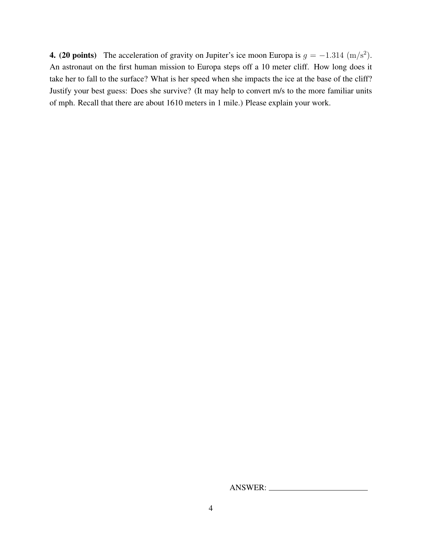4. (20 points) The acceleration of gravity on Jupiter's ice moon Europa is  $g = -1.314 \, (\text{m/s}^2)$ . An astronaut on the first human mission to Europa steps off a 10 meter cliff. How long does it take her to fall to the surface? What is her speed when she impacts the ice at the base of the cliff? Justify your best guess: Does she survive? (It may help to convert m/s to the more familiar units of mph. Recall that there are about 1610 meters in 1 mile.) Please explain your work.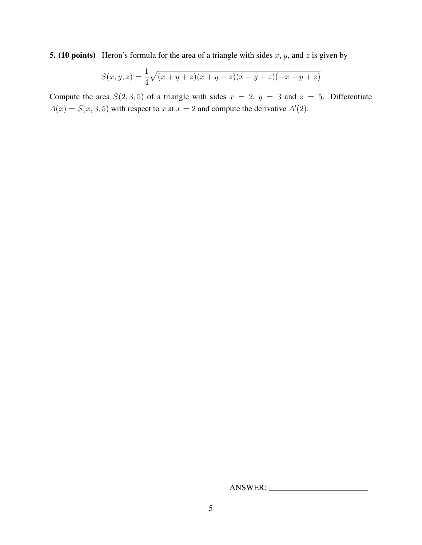**5.** (10 points) Heron's formula for the area of a triangle with sides x, y, and z is given by

$$
S(x, y, z) = \frac{1}{4}\sqrt{(x + y + z)(x + y - z)(x - y + z)(-x + y + z)}
$$

Compute the area  $S(2,3,5)$  of a triangle with sides  $x = 2$ ,  $y = 3$  and  $z = 5$ . Differentiate  $A(x) = S(x, 3, 5)$  with respect to x at  $x = 2$  and compute the derivative  $A'(2)$ .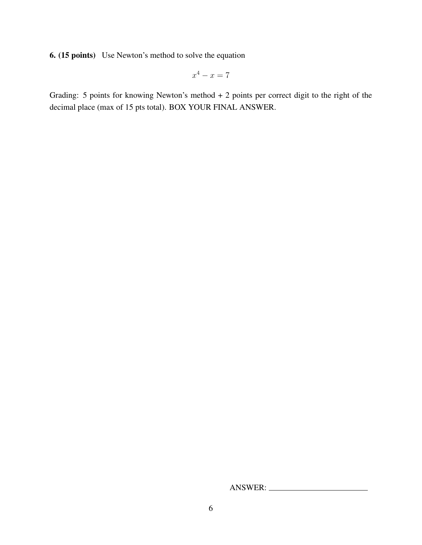6. (15 points) Use Newton's method to solve the equation

$$
x^4 - x = 7
$$

Grading: 5 points for knowing Newton's method + 2 points per correct digit to the right of the decimal place (max of 15 pts total). BOX YOUR FINAL ANSWER.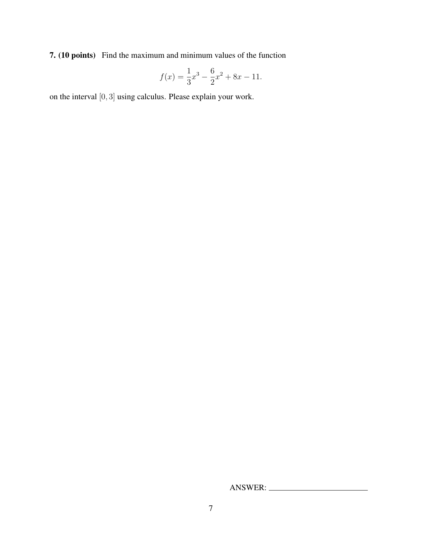7. (10 points) Find the maximum and minimum values of the function

$$
f(x) = \frac{1}{3}x^3 - \frac{6}{2}x^2 + 8x - 11.
$$

on the interval [0, 3] using calculus. Please explain your work.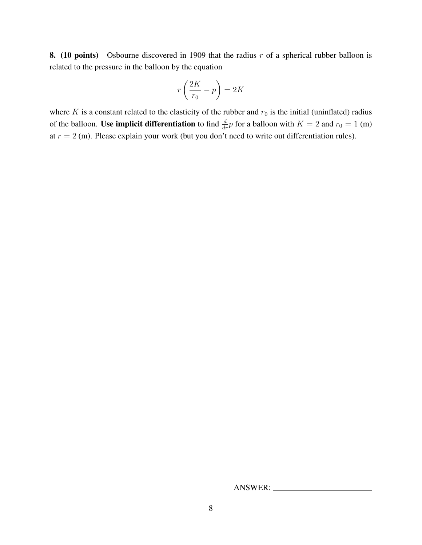8. (10 points) Osbourne discovered in 1909 that the radius  $r$  of a spherical rubber balloon is related to the pressure in the balloon by the equation

$$
r\left(\frac{2K}{r_0} - p\right) = 2K
$$

where K is a constant related to the elasticity of the rubber and  $r_0$  is the initial (uninflated) radius of the balloon. Use implicit differentiation to find  $\frac{d}{dr}p$  for a balloon with  $K = 2$  and  $r_0 = 1$  (m) at  $r = 2$  (m). Please explain your work (but you don't need to write out differentiation rules).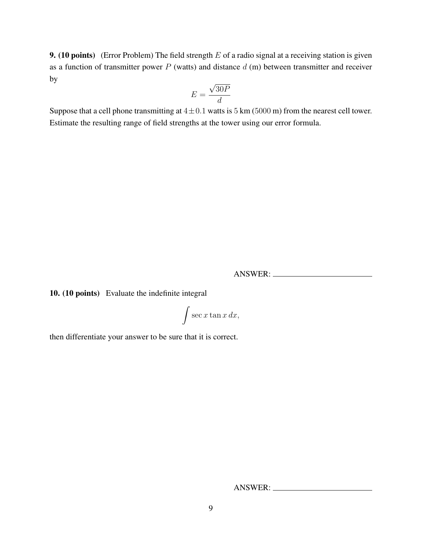**9.** (10 points) (Error Problem) The field strength  $E$  of a radio signal at a receiving station is given as a function of transmitter power  $P$  (watts) and distance  $d$  (m) between transmitter and receiver by √

$$
E = \frac{\sqrt{30P}}{d}
$$

Suppose that a cell phone transmitting at  $4 \pm 0.1$  watts is 5 km (5000 m) from the nearest cell tower. Estimate the resulting range of field strengths at the tower using our error formula.

ANSWER:

10. (10 points) Evaluate the indefinite integral

$$
\int \sec x \tan x \, dx,
$$

then differentiate your answer to be sure that it is correct.